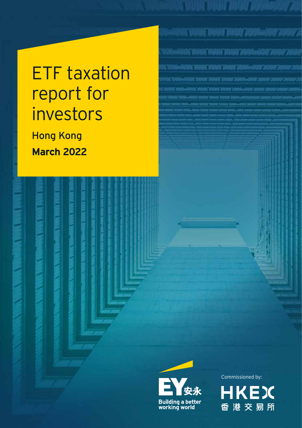# ETF taxation report for investors

Hong Kong **March 2022**





Commissioned by:

BANG KABUT DARI TERRATA PENDIMUM PENDIMUM PENDIMUM PENDIMUM PENDIMUM PENDIMUM PENDIMUM PENDIMUM PENDIMUM PENDI

WE WHAT HEAT WHAT PAINSAND 200

ANTONE VARIED ET VALLATE DANNER (DISAMANTARI ZADANY ZA)

.<br>STAT VANT FOART FRAN 2001–850'Z

ACAMATANAN AMARITANA-MAY 200

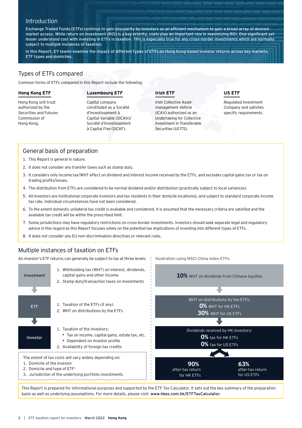# **Introduction**

Exchange Traded Funds (ETFs) continue to gain popularity by investors as an efficient mechanism to gain a broad array of desired market access. While return on investment (ROI) is a key priority, costs play an important role in maximizing ROI. One significant yet lesser understood cost with investing in ETFs is taxation. This is especially true for any cross-border investments which are normally subject to multiple instances of taxation.

In this Report, EY teams examine the impact of different types of ETFs on Hong Kong-based investor returns across key markets, ETF types and domiciles.

### Types of ETFs compared

Common forms of ETFs compared in this Report include the following:

#### **Hong Kong ETF**

Hong Kong unit trust authorized by the Securities and Futures Commission of Hong Kong.

#### **Luxembourg ETF**

Capital company constituted as a Société d'Investissement à Capital Variable (SICAV)/ Société d'Investissement à Capital Fixe (SICAF).

#### **Irish ETF**

Irish Collective Assetmanagement Vehicle (ICAV) authorized as an Undertaking for Collective Investment in Transferable Securities (UCITS).

Illustration using MSCI China Index ETFs:

#### **US ETF**

Regulated Investment Company and satisfies specific requirements.

### General basis of preparation

- 1. This Report is general in nature.
- 2. It does not consider any transfer taxes such as stamp duty.
- 3. It considers only income tax/WHT effect on dividend and interest income received by the ETFs, and excludes capital gains tax or tax on trading profits/losses.
- 4. The distribution from ETFs are considered to be normal dividend and/or distribution (practically subject to local variances).
- 5. All investors are institutional corporate investors and tax residents in their domicile location(s), and subject to standard corporate income tax rate. Individual circumstances have not been considered.
- 6. To the extent domestic unilateral tax credit is available and considered, it is assumed that the necessary criteria are satisfied and the available tax credit will be within the prescribed limit.
- 7. Some jurisdictions may have regulatory restrictions on cross-border investments. Investors should seek separate legal and regulatory advice in this regard as this Report focuses solely on the potential tax implications of investing into different types of ETFs.
- 8. It does not consider any EU non-discrimination directives or relevant rules.

# Multiple instances of taxation on ETFs

An investor's ETF returns can generally be subject to tax at three levels:



This Report is prepared for informational purposes and supported by the ETF Tax Calculator. It sets out the key summary of the preparation basis as well as underlying assumptions. For more details, please visit: [www.hkex.com.hk/ETFTaxCalculator.](https://www.hkex.com.hk/ETFTaxCalculator?sc_lang=en)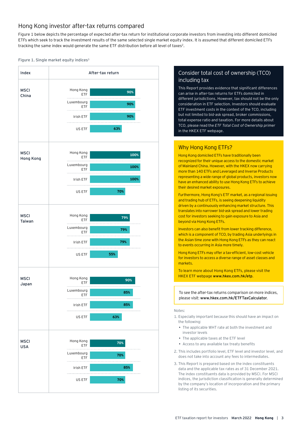# Hong Kong investor after-tax returns compared

Figure 1 below depicts the percentage of expected after-tax return for institutional corporate investors from investing into different domiciled ETFs which seek to track the investment results of the same selected single market equity index. It is assumed that different domiciled ETFs tracking the same index would generate the same ETF distribution before all level of taxes<sup>2</sup>.

#### Figure 1. Single market equity indices<sup>3</sup>



# Consider total cost of ownership (TCO) including tax

This Report provides evidence that significant differences can arise in after-tax returns for ETFs domiciled in different jurisdictions. However, tax should not be the only consideration in ETF selection. Investors should evaluate ETF investment costs in the context of the TCO, including but not limited to bid-ask spread, broker commissions, total expense ratio and taxation. For more details about TCO, please read the *ETF Total Cost of Ownership primer* in the HKEX ETF webpage.

# Why Hong Kong ETFs?

Hong Kong domiciled ETFs have traditionally been recognized for their unique access to the domestic market of Mainland China. However, with the HKEX now carrying more than 140 ETFs and Leveraged and Inverse Products representing a wide range of global products, investors now have an enhanced ability to use Hong Kong ETFs to achieve their desired market exposures.

Furthermore, Hong Kong's ETF market, as a regional issuing and trading hub of ETFs, is seeing deepening liquidity driven by a continuously enhancing market structure. This translates into narrower bid-ask spread and lower trading cost for investors seeking to gain exposure to Asia and beyond via Hong Kong ETFs.

Investors can also benefit from lower tracking difference, which is a component of TCO, by trading Asia underlyings in the Asian time zone with Hong Kong ETFs as they can react to events occurring in Asia more timely.

Hong Kong ETFs may offer a tax-efficient, low-cost vehicle for investors to access a diverse range of asset classes and markets.

To learn more about Hong Kong ETFs, please visit the HKEX ETF webpage www.hkex.com.hk/etp.

To see the after-tax returns comparison on more indices, please visit: www.hkex.com.hk/ETFTaxCalculator.

#### Notes:

- 1. Especially important because this should have an impact on the following:
	- The applicable WHT rate at both the investment and investor levels
	- The applicable taxes at the ETF level
	- Access to any available tax treaty benefits
- 2. This includes portfolio level, ETF level and investor level, and does not take into account any fees to intermediates.
- 3. This Report is prepared based on the index constituents data and the applicable tax rates as of 31 December 2021. The index constituents data is provided by MSCI. For MSCI indices, the jurisdiction classification is generally determined by the company's location of incorporation and the primary listing of its securities.